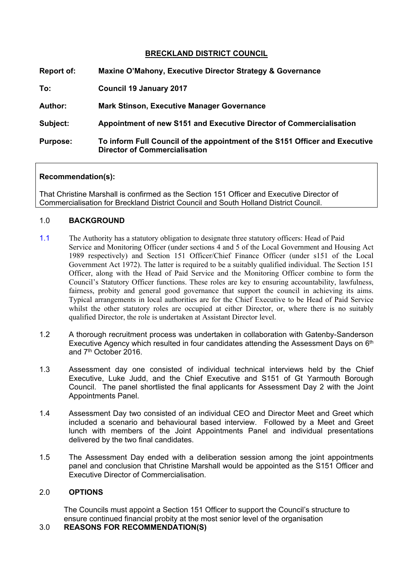# **BRECKLAND DISTRICT COUNCIL**

| <b>Report of:</b> | Maxine O'Mahony, Executive Director Strategy & Governance                                                           |
|-------------------|---------------------------------------------------------------------------------------------------------------------|
| To:               | <b>Council 19 January 2017</b>                                                                                      |
| <b>Author:</b>    | <b>Mark Stinson, Executive Manager Governance</b>                                                                   |
| Subject:          | Appointment of new S151 and Executive Director of Commercialisation                                                 |
| <b>Purpose:</b>   | To inform Full Council of the appointment of the S151 Officer and Executive<br><b>Director of Commercialisation</b> |

## **Recommendation(s):**

That Christine Marshall is confirmed as the Section 151 Officer and Executive Director of Commercialisation for Breckland District Council and South Holland District Council.

## 1.0 **BACKGROUND**

- 1.1 The Authority has a statutory obligation to designate three statutory officers: Head of Paid Service and Monitoring Officer (under sections 4 and 5 of the Local Government and Housing Act 1989 respectively) and Section 151 Officer/Chief Finance Officer (under s151 of the Local Government Act 1972). The latter is required to be a suitably qualified individual. The Section 151 Officer, along with the Head of Paid Service and the Monitoring Officer combine to form the Council's Statutory Officer functions. These roles are key to ensuring accountability, lawfulness, fairness, probity and general good governance that support the council in achieving its aims. Typical arrangements in local authorities are for the Chief Executive to be Head of Paid Service whilst the other statutory roles are occupied at either Director, or, where there is no suitably qualified Director, the role is undertaken at Assistant Director level.
- 1.2 A thorough recruitment process was undertaken in collaboration with Gatenby-Sanderson Executive Agency which resulted in four candidates attending the Assessment Days on 6<sup>th</sup> and 7<sup>th</sup> October 2016.
- 1.3 Assessment day one consisted of individual technical interviews held by the Chief Executive, Luke Judd, and the Chief Executive and S151 of Gt Yarmouth Borough Council. The panel shortlisted the final applicants for Assessment Day 2 with the Joint Appointments Panel.
- 1.4 Assessment Day two consisted of an individual CEO and Director Meet and Greet which included a scenario and behavioural based interview. Followed by a Meet and Greet lunch with members of the Joint Appointments Panel and individual presentations delivered by the two final candidates.
- 1.5 The Assessment Day ended with a deliberation session among the joint appointments panel and conclusion that Christine Marshall would be appointed as the S151 Officer and Executive Director of Commercialisation.

#### 2.0 **OPTIONS**

The Councils must appoint a Section 151 Officer to support the Council's structure to ensure continued financial probity at the most senior level of the organisation

# 3.0 **REASONS FOR RECOMMENDATION(S)**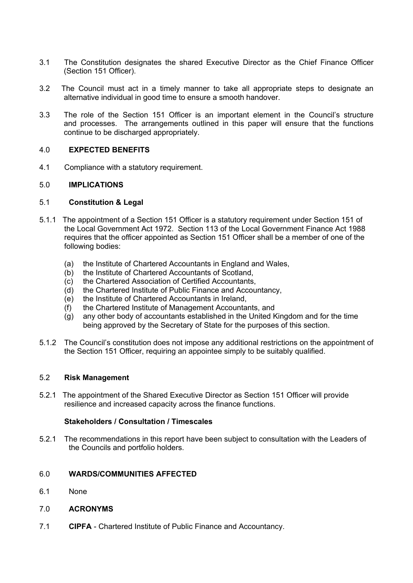- 3.1 The Constitution designates the shared Executive Director as the Chief Finance Officer (Section 151 Officer).
- 3.2 The Council must act in a timely manner to take all appropriate steps to designate an alternative individual in good time to ensure a smooth handover.
- 3.3 The role of the Section 151 Officer is an important element in the Council's structure and processes. The arrangements outlined in this paper will ensure that the functions continue to be discharged appropriately.

#### 4.0 **EXPECTED BENEFITS**

4.1 Compliance with a statutory requirement.

#### 5.0 **IMPLICATIONS**

#### 5.1 **Constitution & Legal**

- 5.1.1 The appointment of a Section 151 Officer is a statutory requirement under Section 151 of the Local Government Act 1972. Section 113 of the Local Government Finance Act 1988 requires that the officer appointed as Section 151 Officer shall be a member of one of the following bodies:
	- (a) the Institute of Chartered Accountants in England and Wales,
	- (b) the Institute of Chartered Accountants of Scotland,
	- (c) the Chartered Association of Certified Accountants,
	- (d) the Chartered Institute of Public Finance and Accountancy,
	- (e) the Institute of Chartered Accountants in Ireland,
	- (f) the Chartered Institute of Management Accountants, and
	- (g) any other body of accountants established in the United Kingdom and for the time being approved by the Secretary of State for the purposes of this section.
- 5.1.2 The Council's constitution does not impose any additional restrictions on the appointment of the Section 151 Officer, requiring an appointee simply to be suitably qualified.

#### 5.2 **Risk Management**

5.2.1 The appointment of the Shared Executive Director as Section 151 Officer will provide resilience and increased capacity across the finance functions.

#### **Stakeholders / Consultation / Timescales**

5.2.1 The recommendations in this report have been subject to consultation with the Leaders of the Councils and portfolio holders.

### 6.0 **WARDS/COMMUNITIES AFFECTED**

- 6.1 None
- 7.0 **ACRONYMS**
- 7.1 **CIPFA** Chartered Institute of Public Finance and Accountancy.